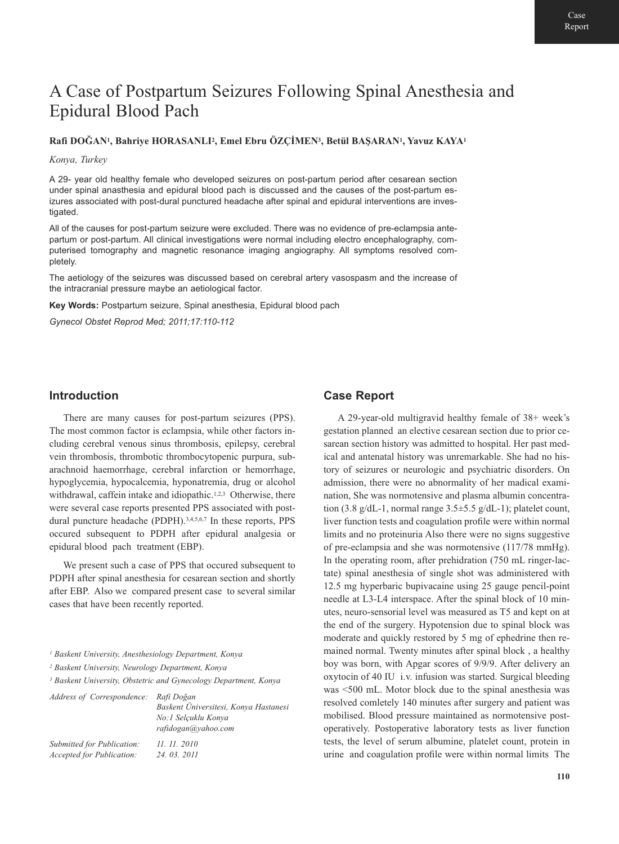# A Case of Postpartum Seizures Following Spinal Anesthesia and Epidural Blood Pach

#### **Rafi DOĞAN1, Bahriye HORASANLI2, Emel Ebru ÖZÇİMEN3, Betül BAŞARAN1, Yavuz KAYA1**

*Konya, Turkey*

A 29- year old healthy female who developed seizures on post-partum period after cesarean section under spinal anasthesia and epidural blood pach is discussed and the causes of the post-partum esizures associated with post-dural punctured headache after spinal and epidural interventions are investigated.

All of the causes for post-partum seizure were excluded. There was no evidence of pre-eclampsia antepartum or post-partum. All clinical investigations were normal including electro encephalography, computerised tomography and magnetic resonance imaging angiography. All symptoms resolved completely.

The aetiology of the seizures was discussed based on cerebral artery vasospasm and the increase of the intracranial pressure maybe an aetiological factor.

**Key Words:** Postpartum seizure, Spinal anesthesia, Epidural blood pach

*Gynecol Obstet Reprod Med; 2011;17:110-112*

### **Introduction**

There are many causes for post-partum seizures (PPS). The most common factor is eclampsia, while other factors including cerebral venous sinus thrombosis, epilepsy, cerebral vein thrombosis, thrombotic thrombocytopenic purpura, subarachnoid haemorrhage, cerebral infarction or hemorrhage, hypoglycemia, hypocalcemia, hyponatremia, drug or alcohol withdrawal, caffein intake and idiopathic.<sup>1,2,3</sup> Otherwise, there were several case reports presented PPS associated with postdural puncture headache (PDPH).<sup>3,4,5,6,7</sup> In these reports, PPS occured subsequent to PDPH after epidural analgesia or epidural blood pach treatment (EBP).

We present such a case of PPS that occured subsequent to PDPH after spinal anesthesia for cesarean section and shortly after EBP. Also we compared present case to several similar cases that have been recently reported.

*<sup>2</sup> Baskent University, Neurology Department, Konya*

*<sup>3</sup> Baskent University, Obstetric and Gynecology Department, Konya*

| Address of Correspondence: | Rafi Doğan<br>Baskent Üniversitesi, Konya Hastanesi<br>No:1 Selcuklu Konya<br>rafidogan@yahoo.com |
|----------------------------|---------------------------------------------------------------------------------------------------|
| Submitted for Publication: | 11. 11. 2010                                                                                      |
| Accepted for Publication:  | 24, 03, 2011                                                                                      |

# **Case Report**

A 29-year-old multigravid healthy female of 38+ week's gestation planned an elective cesarean section due to prior cesarean section history was admitted to hospital. Her past medical and antenatal history was unremarkable. She had no history of seizures or neurologic and psychiatric disorders. On admission, there were no abnormality of her madical examination, She was normotensive and plasma albumin concentration (3.8 g/dL-1, normal range  $3.5\pm5.5$  g/dL-1); platelet count, liver function tests and coagulation profile were within normal limits and no proteinuria Also there were no signs suggestive of pre-eclampsia and she was normotensive (117/78 mmHg). In the operating room, after prehidration (750 mL ringer-lactate) spinal anesthesia of single shot was administered with 12.5 mg hyperbaric bupivacaine using 25 gauge pencil-point needle at L3-L4 interspace. After the spinal block of 10 minutes, neuro-sensorial level was measured as T5 and kept on at the end of the surgery. Hypotension due to spinal block was moderate and quickly restored by 5 mg of ephedrine then remained normal. Twenty minutes after spinal block , a healthy boy was born, with Apgar scores of 9/9/9. After delivery an oxytocin of 40 IU i.v. infusion was started. Surgical bleeding was <500 mL. Motor block due to the spinal anesthesia was resolved comletely 140 minutes after surgery and patient was mobilised. Blood pressure maintained as normotensive postoperatively. Postoperative laboratory tests as liver function tests, the level of serum albumine, platelet count, protein in urine and coagulation profile were within normal limits The

*<sup>1</sup> Baskent University, Anesthesiology Department, Konya*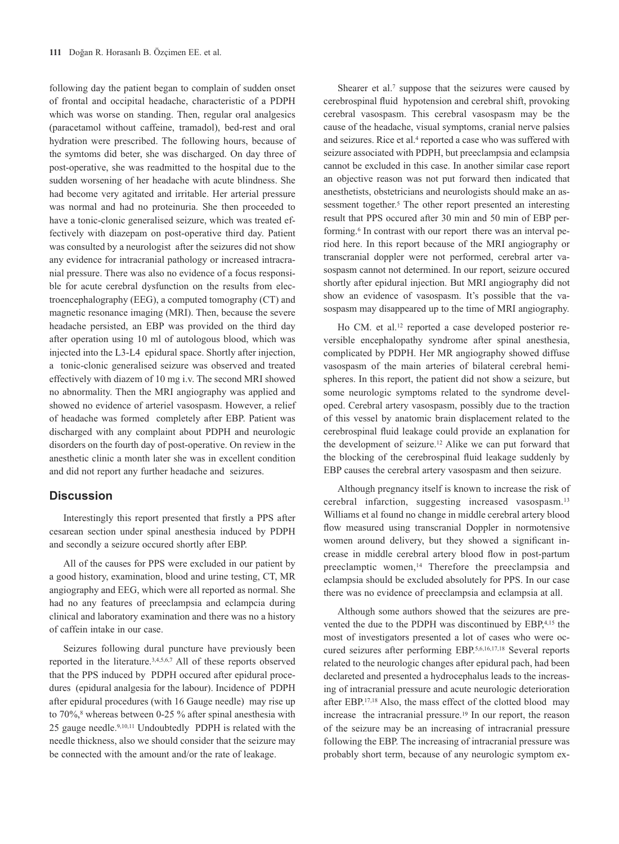following day the patient began to complain of sudden onset of frontal and occipital headache, characteristic of a PDPH which was worse on standing. Then, regular oral analgesics (paracetamol without caffeine, tramadol), bed-rest and oral hydration were prescribed. The following hours, because of the symtoms did beter, she was discharged. On day three of post-operative, she was readmitted to the hospital due to the sudden worsening of her headache with acute blindness. She had become very agitated and irritable. Her arterial pressure was normal and had no proteinuria. She then proceeded to have a tonic-clonic generalised seizure, which was treated effectively with diazepam on post-operative third day. Patient was consulted by a neurologist after the seizures did not show any evidence for intracranial pathology or increased intracranial pressure. There was also no evidence of a focus responsible for acute cerebral dysfunction on the results from electroencephalography (EEG), a computed tomography (CT) and magnetic resonance imaging (MRI). Then, because the severe headache persisted, an EBP was provided on the third day after operation using 10 ml of autologous blood, which was injected into the L3-L4 epidural space. Shortly after injection, a tonic-clonic generalised seizure was observed and treated effectively with diazem of 10 mg i.v. The second MRI showed no abnormality. Then the MRI angiography was applied and showed no evidence of arteriel vasospasm. However, a relief of headache was formed completely after EBP. Patient was discharged with any complaint about PDPH and neurologic disorders on the fourth day of post-operative. On review in the anesthetic clinic a month later she was in excellent condition and did not report any further headache and seizures.

## **Discussion**

Interestingly this report presented that firstly a PPS after cesarean section under spinal anesthesia induced by PDPH and secondly a seizure occured shortly after EBP.

All of the causes for PPS were excluded in our patient by a good history, examination, blood and urine testing, CT, MR angiography and EEG, which were all reported as normal. She had no any features of preeclampsia and eclampcia during clinical and laboratory examination and there was no a history of caffein intake in our case.

Seizures following dural puncture have previously been reported in the literature.3,4,5,6,7 All of these reports observed that the PPS induced by PDPH occured after epidural procedures (epidural analgesia for the labour). Incidence of PDPH after epidural procedures (with 16 Gauge needle) may rise up to  $70\%$ <sup>8</sup> whereas between 0-25  $\%$  after spinal anesthesia with 25 gauge needle.9,10,11 Undoubtedly PDPH is related with the needle thickness, also we should consider that the seizure may be connected with the amount and/or the rate of leakage.

Shearer et al.<sup>7</sup> suppose that the seizures were caused by cerebrospinal fluid hypotension and cerebral shift, provoking cerebral vasospasm. This cerebral vasospasm may be the cause of the headache, visual symptoms, cranial nerve palsies and seizures. Rice et al.<sup>4</sup> reported a case who was suffered with seizure associated with PDPH, but preeclampsia and eclampsia cannot be excluded in this case. In another similar case report an objective reason was not put forward then indicated that anesthetists, obstetricians and neurologists should make an assessment together.<sup>5</sup> The other report presented an interesting result that PPS occured after 30 min and 50 min of EBP performing.<sup>6</sup> In contrast with our report there was an interval period here. In this report because of the MRI angiography or transcranial doppler were not performed, cerebral arter vasospasm cannot not determined. In our report, seizure occured shortly after epidural injection. But MRI angiography did not show an evidence of vasospasm. It's possible that the vasospasm may disappeared up to the time of MRI angiography.

Ho CM. et al.<sup>12</sup> reported a case developed posterior reversible encephalopathy syndrome after spinal anesthesia, complicated by PDPH. Her MR angiography showed diffuse vasospasm of the main arteries of bilateral cerebral hemispheres. In this report, the patient did not show a seizure, but some neurologic symptoms related to the syndrome developed. Cerebral artery vasospasm, possibly due to the traction of this vessel by anatomic brain displacement related to the cerebrospinal fluid leakage could provide an explanation for the development of seizure.12 Alike we can put forward that the blocking of the cerebrospinal fluid leakage suddenly by EBP causes the cerebral artery vasospasm and then seizure.

Although pregnancy itself is known to increase the risk of cerebral infarction, suggesting increased vasospasm.13 Williams et al found no change in middle cerebral artery blood flow measured using transcranial Doppler in normotensive women around delivery, but they showed a significant increase in middle cerebral artery blood flow in post-partum preeclamptic women,<sup>14</sup> Therefore the preeclampsia and eclampsia should be excluded absolutely for PPS. In our case there was no evidence of preeclampsia and eclampsia at all.

Although some authors showed that the seizures are prevented the due to the PDPH was discontinued by EBP,4,15 the most of investigators presented a lot of cases who were occured seizures after performing EBP.5,6,16,17,18 Several reports related to the neurologic changes after epidural pach, had been declareted and presented a hydrocephalus leads to the increasing of intracranial pressure and acute neurologic deterioration after EBP.<sup>17,18</sup> Also, the mass effect of the clotted blood may increase the intracranial pressure.<sup>19</sup> In our report, the reason of the seizure may be an increasing of intracranial pressure following the EBP. The increasing of intracranial pressure was probably short term, because of any neurologic symptom ex